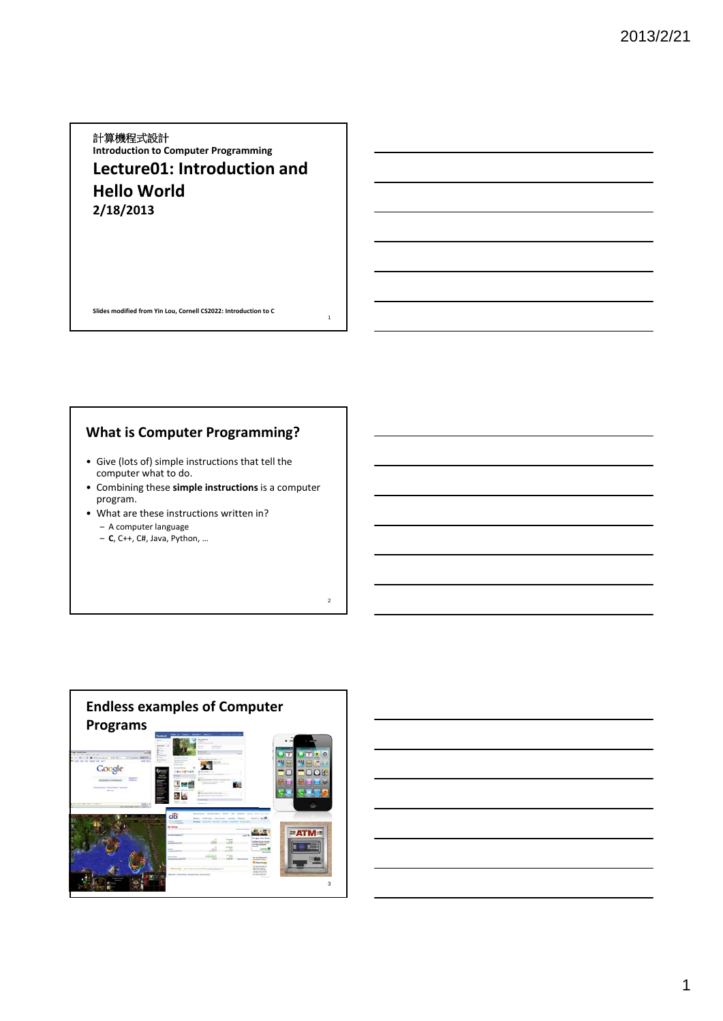### 計算機程式設計

**Introduction to Computer Programming Lecture01: Introduction and Hello World 2/18/2013**

**Slides modified from Yin Lou, Cornell CS2022: Introduction to C**

1

2

### **What is Computer Programming?**

- Give (lots of) simple instructions that tell the computer what to do.
- Combining these **simple instructions** is a computer program.
- What are these instructions written in? – A computer language
	- **C**, C++, C#, Java, Python, …



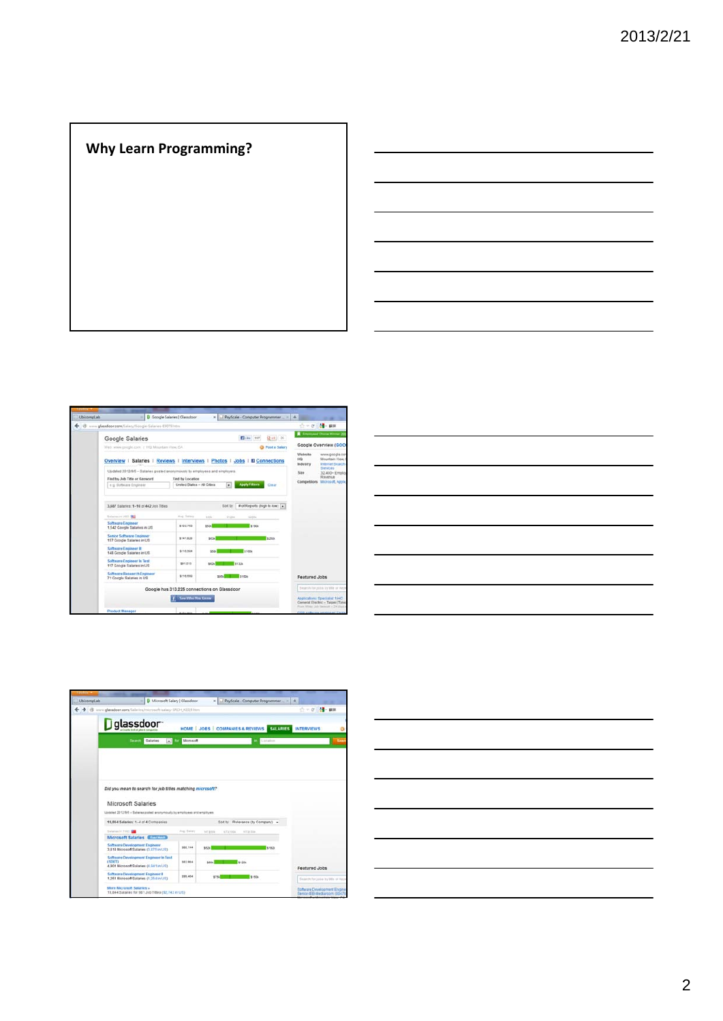## **Why Learn Programming?**

| glassdoor.com/Salary/Google-Salaries-ES079.htm                             |                                                        |       |                             |                                             | <b>Cre M-BB</b>           |                                                                                                                  |
|----------------------------------------------------------------------------|--------------------------------------------------------|-------|-----------------------------|---------------------------------------------|---------------------------|------------------------------------------------------------------------------------------------------------------|
|                                                                            |                                                        |       |                             |                                             |                           |                                                                                                                  |
| Google Salaries                                                            |                                                        |       |                             | Elian 197<br>史中 25                          |                           | <b>Engineer Drove Himer 2</b>                                                                                    |
| Web www.google.com. ( HQ Mountain View, CA.                                |                                                        |       |                             | C Post a Salary                             |                           | Google Overview (GOOC                                                                                            |
| Overview   Salaries   Reviews                                              |                                                        |       |                             | Interviews   Photos   Jobs   ID Connections | Website<br>HO<br>Industry | www.google.com<br>Mountain View. C<br>Internet Search &<br><b>Benices</b>                                        |
| Updated 2012/9/5 - Salaries posted anonymously by employees and employers. |                                                        |       |                             |                                             | Size                      | 32.400 - Employ<br>Revenue                                                                                       |
| Find by Job Title or Keyword<br>e.g. Software Engineer                     | Find by Location<br><b>Linited States - All Cities</b> |       | $\overline{\phantom{a}}$    | <b>Apply Fitters</b><br>Clear               |                           | Competitors Microsoft Aprile                                                                                     |
|                                                                            |                                                        |       |                             |                                             |                           |                                                                                                                  |
| 3,687 Salaries: 1-10 of 442 Job Titles                                     |                                                        |       |                             | Bott by # of Reports (high to low) =        |                           |                                                                                                                  |
| Salaries in 1933 180                                                       | Aug. Salary                                            | 3.45x | \$1204                      | sioni                                       |                           |                                                                                                                  |
| <b>Software Engineer</b><br>1.542 Google Salaries in US                    | \$103,783                                              | sno.  |                             | stage                                       |                           |                                                                                                                  |
| <b>Senior Software Engineer</b><br>157 Google Salaries in US               | \$141,830                                              | seal  |                             | 12MW                                        |                           |                                                                                                                  |
| <b>Software Engineer III</b><br>148 Google Salaries in US                  | \$110,554                                              | sea   | <b>Bandy</b>                |                                             |                           |                                                                                                                  |
| <b>Software Engineer In Test</b><br>117 Google Salaries in US              | \$10,000                                               | send. | <b>CONTRACTOR</b>           |                                             |                           |                                                                                                                  |
| <b>Software Research Engineer</b><br>71 Google Salaries in US              | \$110,093                                              |       | ssn.1<br><b>STATE STATE</b> |                                             | Featured Jobs             |                                                                                                                  |
| Google has 313,225 connections on Glassdoor                                |                                                        |       |                             |                                             |                           | Search for jobs by the or new                                                                                    |
|                                                                            | See Who You Know                                       |       |                             |                                             |                           | Applications Specialist 1-HO<br>General Electric - Taipei (Tarwa<br>Fitzen Military Justs Kleinwork - 24 days as |
| <b>Product Manager</b>                                                     |                                                        |       |                             |                                             |                           | <b>CISP collulars anninger Corp</b>                                                                              |

| the control of the control of the control of the control of the control of<br>– |  |  |
|---------------------------------------------------------------------------------|--|--|
|                                                                                 |  |  |
|                                                                                 |  |  |
|                                                                                 |  |  |
|                                                                                 |  |  |
|                                                                                 |  |  |
|                                                                                 |  |  |
|                                                                                 |  |  |
|                                                                                 |  |  |
|                                                                                 |  |  |
|                                                                                 |  |  |
|                                                                                 |  |  |
|                                                                                 |  |  |



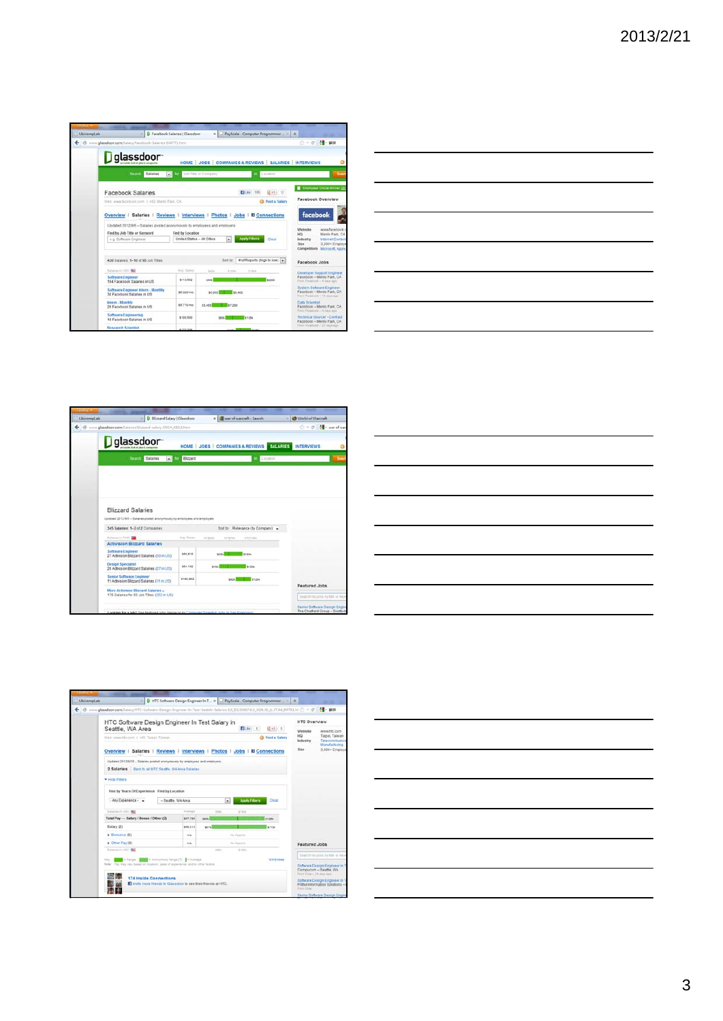| Ubicomplab           | a s                                                                                                                                                                                                              | D Facebook Salaries   Glassdoor                |                                  | x JPayScale - Computer Programmer = 4                                                          |                                                    |                                                                                                                      |
|----------------------|------------------------------------------------------------------------------------------------------------------------------------------------------------------------------------------------------------------|------------------------------------------------|----------------------------------|------------------------------------------------------------------------------------------------|----------------------------------------------------|----------------------------------------------------------------------------------------------------------------------|
|                      | www.glassdoor.com/Salary/Facebook-Salaries-E40772.htm                                                                                                                                                            |                                                |                                  |                                                                                                | 立てび                                                | $24 - \mu$ m                                                                                                         |
|                      | glassdoor                                                                                                                                                                                                        |                                                |                                  | HOME   JOBS   COMPANIES & REVIEWS   SALARIES   INTERVIEWS                                      |                                                    |                                                                                                                      |
|                      | <b>Salaries</b><br>Search                                                                                                                                                                                        | <b>DE Los Tite</b> or Company                  |                                  | <b>In Licaton</b>                                                                              |                                                    | <b>Sear</b>                                                                                                          |
|                      | <b>Facebook Salaries</b>                                                                                                                                                                                         |                                                |                                  | Elian 195                                                                                      | 従→1 12                                             | <b>Engineer Older Himsel 251</b>                                                                                     |
|                      | Web www.facebook.com   HQ Mento Park CA                                                                                                                                                                          |                                                |                                  | Ch Post a Salary                                                                               |                                                    | Facebook Overview                                                                                                    |
|                      | Overview   Salaries  <br>Reviews 1<br>Updated 2012/9/6 - Salaries posted anonymously by employees and employers.<br>Find by Job Title or Keyword<br># 8 Software Engineer<br>420 Salaries: 1-10 of 95 Job Titles | Find by Location<br>United States - All Cities | Interviews   Photos  <br>Boff by | <b>Jobs   III Connections</b><br><b>Apply Filters</b><br>Clear<br># of Reports (high to low) = | Website<br>HO<br>industry<br>Size<br>Facebook Jobs | facebook<br>www.facebook.co<br>Menlo Park, CA<br>Internat Content<br>3.200+ Employer<br>Competitors Microsoft Apple. |
| Selected in USD 1980 |                                                                                                                                                                                                                  | Aug. Salary                                    | $3 - 2 = 1$<br><b>SYSTEM</b>     | \$189.                                                                                         |                                                    |                                                                                                                      |
|                      | <b>Software Engineer</b><br>164 Facebook Salaries in US.                                                                                                                                                         | \$113,602                                      | 5446                             | \$2004                                                                                         |                                                    | Developer Support Engineer<br>Facebook - Menio Park CA<br>From Fandomb + 4 days ago.                                 |
|                      | Software Engineer Intern - Monthly<br>30 Facebook Salaries in US                                                                                                                                                 | 98.323 mg                                      | sk oo li                         | <b>Based</b>                                                                                   |                                                    | System Software Engineer<br>Facebook - Menio Park, CA<br>From Facebook + 18 days ago.                                |
| Intern - Monthly     | 26 Facebook Salaries in US                                                                                                                                                                                       | \$5.710 mm                                     | \$3,450<br>\$7,500               |                                                                                                | Data Scientist                                     | Facebook - Menio Park CA<br>Form Farancois - 4 basic ago.                                                            |
|                      | <b>Software Engineering</b><br>10 Facebook Salaries in US                                                                                                                                                        | \$100,000                                      | <b>3804</b>                      | <b>BYSIN</b>                                                                                   |                                                    | Technical Rourcer - Contract<br>Facebook - Menio Park CA                                                             |
|                      | <b>Research Scientist</b>                                                                                                                                                                                        | <b>ALCOHOL: NAME</b>                           |                                  |                                                                                                |                                                    | Front Falankeett - 27 Jane ago:                                                                                      |

| ___                                                                                                                    |  |
|------------------------------------------------------------------------------------------------------------------------|--|
|                                                                                                                        |  |
|                                                                                                                        |  |
|                                                                                                                        |  |
|                                                                                                                        |  |
|                                                                                                                        |  |
|                                                                                                                        |  |
|                                                                                                                        |  |
|                                                                                                                        |  |
| <u> 1989 - Johann Stoff, deutscher Stoffen und der Stoffen und der Stoffen und der Stoffen und der Stoffen und der</u> |  |

|                                                                               |             |                                                                                                            |                                                                           |                                                            | $C = C \cdot M$ - war of ware                               |                                                                                                 |
|-------------------------------------------------------------------------------|-------------|------------------------------------------------------------------------------------------------------------|---------------------------------------------------------------------------|------------------------------------------------------------|-------------------------------------------------------------|-------------------------------------------------------------------------------------------------|
| glassdoor                                                                     |             |                                                                                                            |                                                                           |                                                            |                                                             |                                                                                                 |
| Salaries<br>۰ı<br>Search                                                      |             |                                                                                                            |                                                                           |                                                            |                                                             | tes.                                                                                            |
|                                                                               |             |                                                                                                            |                                                                           |                                                            |                                                             |                                                                                                 |
| <b>Blizzard Salaries</b>                                                      |             |                                                                                                            |                                                                           |                                                            |                                                             |                                                                                                 |
|                                                                               |             |                                                                                                            |                                                                           |                                                            |                                                             |                                                                                                 |
| 345 Salaries: 1-2 of 2 Companies                                              |             |                                                                                                            |                                                                           |                                                            |                                                             |                                                                                                 |
| Salaries in TWO INC.                                                          | Aug. Salary | <b>NYSES</b>                                                                                               | <b>NTS1206</b>                                                            |                                                            |                                                             |                                                                                                 |
| <b>Activision Blizzard Salaries</b>                                           |             |                                                                                                            |                                                                           |                                                            |                                                             |                                                                                                 |
| <b>Software Engineer</b><br>27 Adlvision Bluzzard Salaries (30 in US)         | \$65,615    | ses.                                                                                                       | stone                                                                     |                                                            |                                                             |                                                                                                 |
| <b>Design Specialist</b><br>26 Adlylsion Blizzard Salaries (27 in US)         | \$04,132    | 5436                                                                                                       | <b>SYDNA</b>                                                              |                                                            |                                                             |                                                                                                 |
| <b>Senior Software Engineer</b><br>11 Activision Elizzard Salaries (11 in US) | \$102,982   |                                                                                                            |                                                                           |                                                            |                                                             |                                                                                                 |
| More Activision Bizzard Salaries »                                            |             |                                                                                                            |                                                                           |                                                            |                                                             |                                                                                                 |
|                                                                               |             |                                                                                                            |                                                                           |                                                            |                                                             |                                                                                                 |
| 175 Salaries for 63 Job Titles (252 in US)                                    |             |                                                                                                            |                                                                           |                                                            | Search for jobs by title or never                           |                                                                                                 |
|                                                                               |             | D Blizzard Salary   Glassdoor<br>www.glassdoor.com/Salaries/blizzard-salary-SRCH_KEO.3.html<br>for Blocard | Updated 2012/9/8 - Salaries posted anonymously by employees and employees | x   Mar of warcraft - Search<br>istsrav<br>5825 2000 31204 | ×<br><b>DE</b> Listatus<br>Sort by Relevance (by Company) - | World of Warcraft<br>HOME   JOBS   COMPANIES & REVIEWS   SALARIES   INTERVIEWS<br>Featured Jobs |





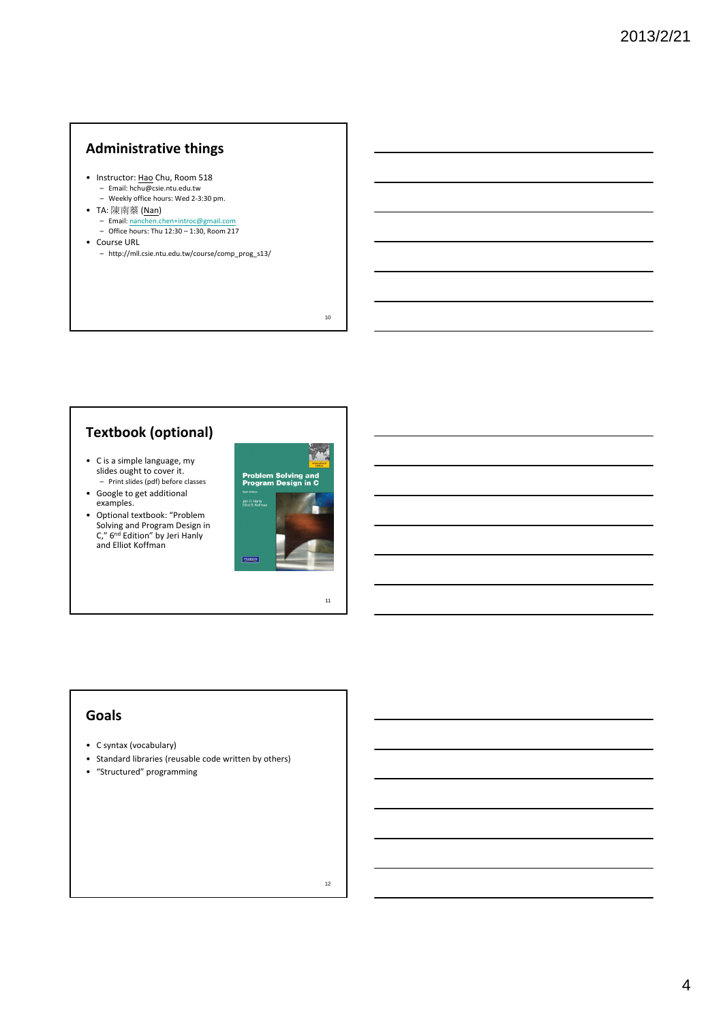### **Administrative things**

- Instructor: Hao Chu, Room 518
	- Email: hchu@csie.ntu.edu.tw – Weekly office hours: Wed 2‐3:30 pm.
- TA: 陳南蓁 (Nan)
	- Email: nanchen.chen+introc@gmail.com
	- Office hours: Thu 12:30 1:30, Room 217
- Course URL
	- http://mll.csie.ntu.edu.tw/course/comp\_prog\_s13/

10

11

## **Textbook (optional)**

- C is a simple language, my slides ought to cover it. – Print slides (pdf) before classes
- Google to get additional examples. • Optional textbook: "Problem
- Solving and Program Design in<br>C," 6<sup>nd</sup> Edition" by Jeri Hanly and Elliot Koffman



### **Goals**

- C syntax (vocabulary)
- Standard libraries (reusable code written by others)
- "Structured" programming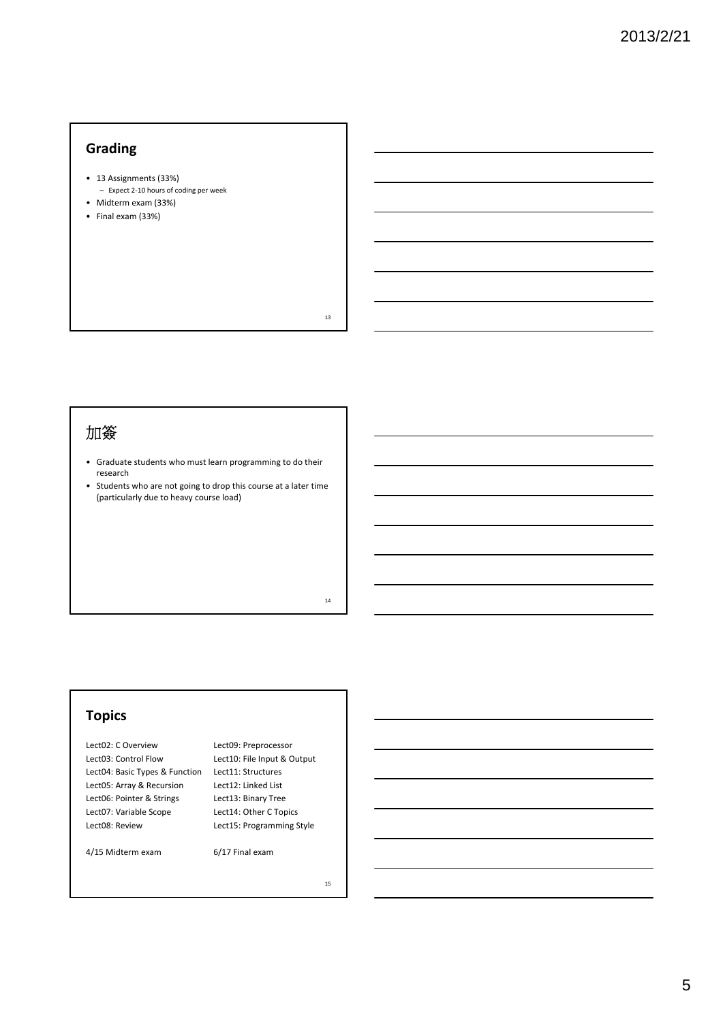### **Grading**

- 13 Assignments (33%) – Expect 2‐10 hours of coding per week
- Midterm exam (33%)
- Final exam (33%)

13

# 加簽

- Graduate students who must learn programming to do their research
- Students who are not going to drop this course at a later time (particularly due to heavy course load)

14

### **Topics**

Lect02: C Overview Lect03: Control Flow Lect04: Basic Types & Function Lect05: Array & Recursion Lect06: Pointer & Strings Lect07: Variable Scope Lect08: Review

4/15 Midterm exam

Lect09: Preprocessor Lect10: File Input & Output Lect11: Structures Lect12: Linked List Lect13: Binary Tree Lect14: Other C Topics Lect15: Programming Style

6/17 Final exam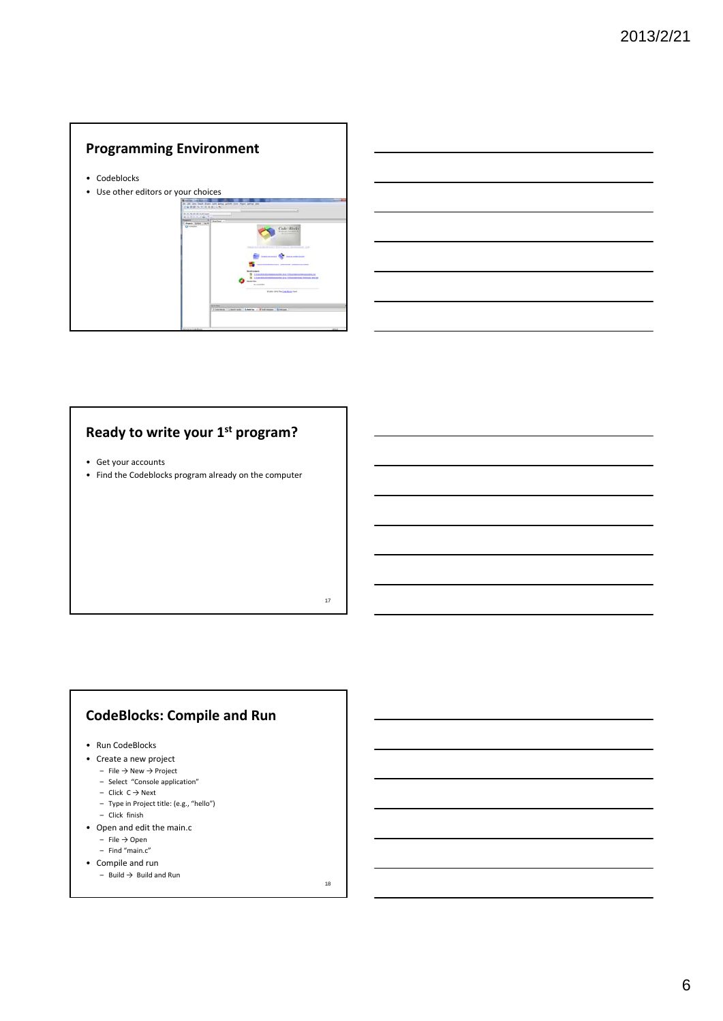## **Programming Environment**

• Codeblocks





## **Ready to write your 1st program?**

- Get your accounts
- Find the Codeblocks program already on the computer

#### 17

18

## **CodeBlocks: Compile and Run**

- Run CodeBlocks
- Create a new project
	- File → New → Project
	- Select "Console application"
	- Click C → Next
	- Type in Project title: (e.g., "hello")
	- Click finish
- Open and edit the main.c – File → Open
	- Find "main.c"
- Compile and run
	- $-$  Build  $\rightarrow$  Build and Run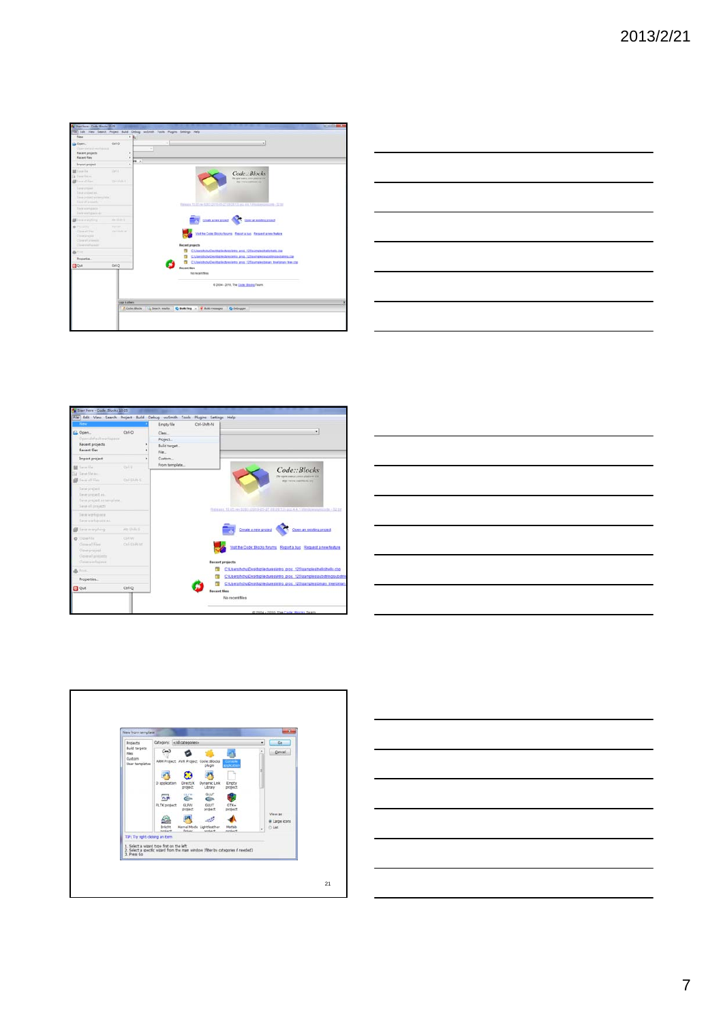









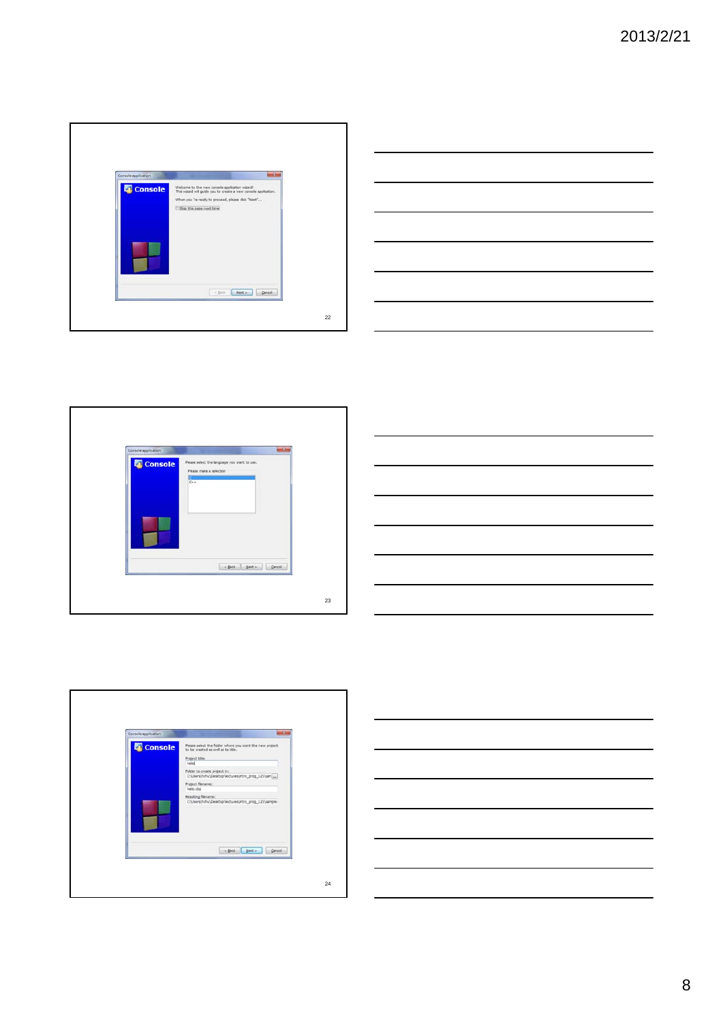









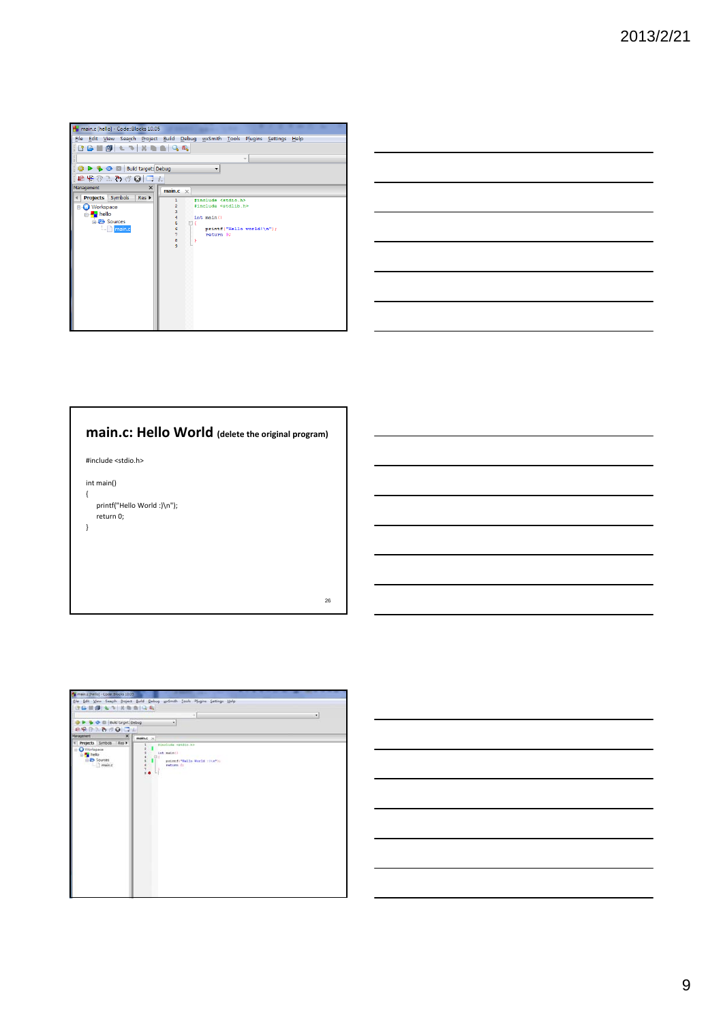| main.c [hello] - Code::Blocks 10.05                                                                              |                                                                                                                                                                                                                                                                                            |  |  |  |  |  |
|------------------------------------------------------------------------------------------------------------------|--------------------------------------------------------------------------------------------------------------------------------------------------------------------------------------------------------------------------------------------------------------------------------------------|--|--|--|--|--|
|                                                                                                                  | Eile Edit View Search Project Build Debug wxSmith Tools Plugins Settings Help                                                                                                                                                                                                              |  |  |  |  |  |
| <b>BBBBC3XBBQQ</b>                                                                                               |                                                                                                                                                                                                                                                                                            |  |  |  |  |  |
|                                                                                                                  | $\mathbf{v}$                                                                                                                                                                                                                                                                               |  |  |  |  |  |
| O D & O B Build target: Debug                                                                                    |                                                                                                                                                                                                                                                                                            |  |  |  |  |  |
| $\mathbb{R} \times \mathbb{R} \times \mathbb{R}$                                                                 |                                                                                                                                                                                                                                                                                            |  |  |  |  |  |
| Management<br>×                                                                                                  | main.c $\times$                                                                                                                                                                                                                                                                            |  |  |  |  |  |
| <b>Projects</b> Symbols<br>Res<br><b>Workspace</b><br>⊟ <mark>- hello</mark><br>Sources<br>$\blacksquare$ main.c | #include <stdio.h><br/>1<br/><math>\overline{2}</math><br/>#include <stdlib.h><br/><math>\overline{\mathbf{a}}</math><br/>4<br/>int main ()<br/>5<br/><math>\Box</math><br/>6<br/>printf("Hello world!\n");<br/>7<br/>return 0:<br/>8<br/>٠<br/><math>\ddot{ }</math></stdlib.h></stdio.h> |  |  |  |  |  |



## **main.c: Hello World (delete the original program)**

#include <stdio.h>

int main()

{ printf("Hello World :)\n"); return 0;

}

| Ele Edit View Search Broject Build Debug wiSmith Tools Plugins Settings Help<br><b>GGEORANAAQA</b><br>×<br>+ + + 1   Build target: Debug<br>٠<br>#保存正存行◎□上<br><b>Haragement</b><br>$\mathbf{x}$<br>main.c. x<br>Projects Symbols Res ><br>Finaluse cruzin.hr<br>r<br>۰<br>O Workspace<br>int main !!<br>- help<br><b>CBI</b><br><b>B</b> Sources<br>п<br>printf ("Hallo Murld ()\n");<br>$\Box$ mains:<br>return Or<br>$\bullet$ $\blacksquare$ |  |
|-------------------------------------------------------------------------------------------------------------------------------------------------------------------------------------------------------------------------------------------------------------------------------------------------------------------------------------------------------------------------------------------------------------------------------------------------|--|
|                                                                                                                                                                                                                                                                                                                                                                                                                                                 |  |
|                                                                                                                                                                                                                                                                                                                                                                                                                                                 |  |
|                                                                                                                                                                                                                                                                                                                                                                                                                                                 |  |
|                                                                                                                                                                                                                                                                                                                                                                                                                                                 |  |
|                                                                                                                                                                                                                                                                                                                                                                                                                                                 |  |
|                                                                                                                                                                                                                                                                                                                                                                                                                                                 |  |
|                                                                                                                                                                                                                                                                                                                                                                                                                                                 |  |
|                                                                                                                                                                                                                                                                                                                                                                                                                                                 |  |

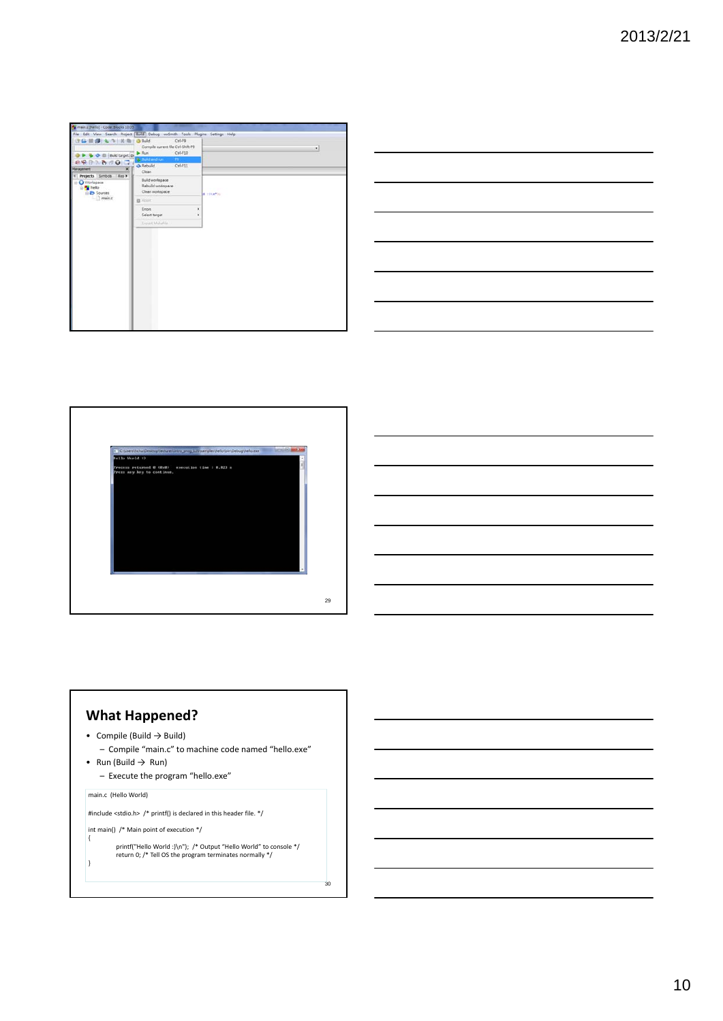| My main z [hello] - Code: Blacks 10.05                                                                                                                |                                               |
|-------------------------------------------------------------------------------------------------------------------------------------------------------|-----------------------------------------------|
| Fle Edit View Search Project [Buld] Debug wiSmith Tools Plugins Settings Help                                                                         |                                               |
| <b>CGHO &amp; N &amp; B O told</b><br>$Cyl$ -F9<br>Compile current file Ctrl-Shift-F9<br>$P$ Run<br>$CbI-FIO$<br><b>&amp; O Ill Build target: Dr.</b> | ٠                                             |
| $Cn$ -F11<br><b>B</b> Rebuild                                                                                                                         |                                               |
|                                                                                                                                                       |                                               |
| Build workspace<br>Rebuild workspace<br>Clean workspace                                                                                               | a mars                                        |
| <b>四 Abort</b>                                                                                                                                        |                                               |
| <b>Eriors</b><br>٠<br>Select target<br>٠                                                                                                              |                                               |
| Export Melafile                                                                                                                                       |                                               |
|                                                                                                                                                       |                                               |
|                                                                                                                                                       | <b>T. Build and run</b><br><b>B.</b><br>Clean |





## **What Happened?**

```
• Compile (Build \rightarrow Build)
```

```
– Compile "main.c" to machine code named "hello.exe"
• Run (Build \rightarrow Run)
```

```
– Execute the program "hello.exe"
```
main.c (Hello World)

 $\left| \right.$ 

#include <stdio.h> /\* printf() is declared in this header file. \*/

int main() /\* Main point of execution \*/  $\left| \right|$ 

printf("Hello World :)\n"); /\* Output "Hello World" to console \*/ return 0; /\* Tell OS the program terminates normally \*/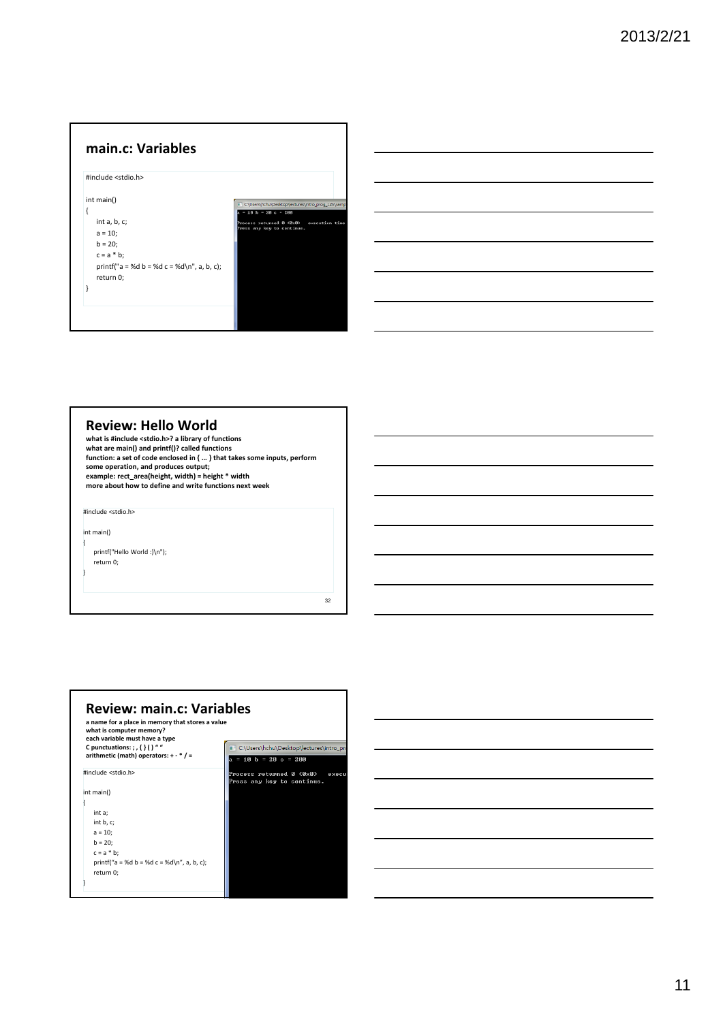| # C:\Users\hchu\Desktop\lectures\intro_prog_125\sampl<br>$20c = 200$<br>18 5<br>$\sim$<br>execution time<br>Process returned B (BxB)<br>Press any key to continue. |
|--------------------------------------------------------------------------------------------------------------------------------------------------------------------|
|                                                                                                                                                                    |

![](_page_10_Figure_2.jpeg)

#### **Review: Hello World**

what is #include <stdio.h>? a library of functions<br>what are main() and printf()? called functions<br>function: a set of code enclosed in { ... } that takes some inputs, perform<br>some operation, and produces output; **example: rect\_area(height, width) = height \* width more about how to define and write functions next week**

32

#include <stdio.h>

int main() {

}

printf("Hello World :)\n");

return 0;

| a name for a place in memory that stores a value<br>what is computer memory?<br>each variable must have a type<br>C punctuations: ; , { } ( ) " " | C:\Users\hchu\Desktop\lectures\intro_pro                        |
|---------------------------------------------------------------------------------------------------------------------------------------------------|-----------------------------------------------------------------|
| arithmetic (math) operators: $+ - * / =$                                                                                                          | а = 10 Ъ = 20 с = 200                                           |
| #include <stdio.h></stdio.h>                                                                                                                      | Process returned 0 (0x0)<br>execu<br>Press any key to continue. |
| int main()                                                                                                                                        |                                                                 |
|                                                                                                                                                   |                                                                 |
| int a;                                                                                                                                            |                                                                 |
| int b, c;                                                                                                                                         |                                                                 |
| $a = 10$ :                                                                                                                                        |                                                                 |
| $b = 20;$                                                                                                                                         |                                                                 |
| $c = a * b;$                                                                                                                                      |                                                                 |
| printf("a = %d b = %d c = %d\n", a, b, c);                                                                                                        |                                                                 |
| return 0;                                                                                                                                         |                                                                 |
|                                                                                                                                                   |                                                                 |

![](_page_10_Figure_10.jpeg)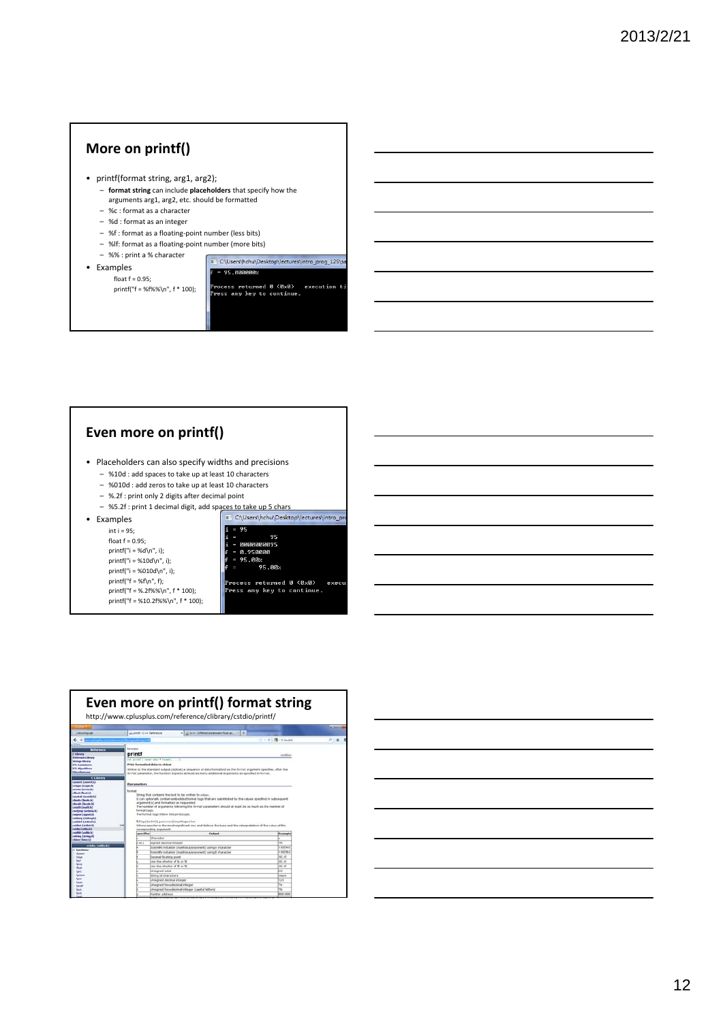## **More on printf()**

- printf(format string, arg1, arg2); – **format string** can include **placeholders** that specify how the
	- arguments arg1, arg2, etc. should be formatted – %c : format as a character
	- %d : format as an integer
	-
	- %f : format as a floating‐point number (less bits) – %lf: format as a floating‐point number (more bits)
	- %% : print a % character
- Examples

float  $f = 0.95$ ; printf("f = %f%%\n", f \* 100); C:\Users\hchu\Desktop\lectures\intro\_prog\_12S\s 95.000000x -<br>Process returned 0 (0x0) - execution ti<br>Press any key to continue.

### **Even more on printf()**

- Placeholders can also specify widths and precisions
	- %10d : add spaces to take up at least 10 characters
	- %010d : add zeros to take up at least 10 characters
	- %.2f : print only 2 digits after decimal point
	- $-$  %5.2f : print 1 decimal digit, add sp
- Examples

int i = 95; float  $f = 0.95$ ; printf(" $i = %d\n\infty$ ", i); printf("i = %10d\n", i); printf("i = %010d\n", i);  $\text{printf}("f = \%f\n\backslash n", f);$  $print("f = %.2f%% \n\cdot \cdot \cdot, f * 100);$ 

printf("f = %10.2f%%\n", f \* 100);

|  | paces to take up 5 chars                 |
|--|------------------------------------------|
|  | C:\Users\hchu\Desktop\lectures\intro_pro |
|  | $= 95$                                   |
|  | 95                                       |
|  | i = 0000000095                           |
|  | $= 0.950000$                             |
|  | $= 95.00$ %                              |
|  | 95.00%<br>ı                              |
|  |                                          |

■<br>Process returned 0 (0x0) — execu<br>Press any key to continue.

| Likecompl.ab                                    | Gi pinel - Ca s Reference     | v Brazil Difference between fixed as 1 1 di-                                                                                                                                                                            |                           | <b>ACCOMMENDATION</b> |
|-------------------------------------------------|-------------------------------|-------------------------------------------------------------------------------------------------------------------------------------------------------------------------------------------------------------------------|---------------------------|-----------------------|
|                                                 |                               |                                                                                                                                                                                                                         | O F O H Chille            | 产品费                   |
| <b><i><u>Reference</u></i></b>                  | <b><i><u>Europian</u></i></b> |                                                                                                                                                                                                                         |                           |                       |
| <b>Cliforary</b>                                | printf                        |                                                                                                                                                                                                                         | <b>ALIX RELIAN</b>        |                       |
| <b>Khakenam Library</b>                         |                               | int printf i conte char. * fromet.                                                                                                                                                                                      |                           |                       |
| <b>Skylings Marany</b><br><b>STI Containers</b> |                               | Print formatted data to sideat                                                                                                                                                                                          |                           |                       |
| <b>STL Algord home</b>                          |                               |                                                                                                                                                                                                                         |                           |                       |
| <b>There Baneous</b>                            |                               | Writes to the standard output (stdout) a sequence of data formatted as the format argument specifies. After the<br>formal parameter, the function expects at least as many additional arguments as specified as format. |                           |                       |
| CLibrary                                        |                               |                                                                                                                                                                                                                         |                           |                       |
| cassert (assert.h)                              |                               |                                                                                                                                                                                                                         |                           |                       |
| cchuse (chuse.h)                                | <b>Parameters</b>             |                                                                                                                                                                                                                         |                           |                       |
| centes (error.h)                                | format                        |                                                                                                                                                                                                                         |                           |                       |
| Most (Rost.h)                                   |                               | Shing that contains the text to be written to rideri.                                                                                                                                                                   |                           |                       |
| classicità (instituta A)<br>desire Gently AT    |                               | It can optionally contain embedded format tags that are substituted by the values specified in subsequent                                                                                                               |                           |                       |
| clocale (locale h)                              |                               | argument(s) and formatted as requested.                                                                                                                                                                                 |                           |                       |
| cmeth (muth.h)                                  |                               | The number of arguments following the format parameters should at least be as much as the number of                                                                                                                     |                           |                       |
| the Elena Cantinus, A.I.                        | <b>Rimmat tags.</b>           |                                                                                                                                                                                                                         |                           |                       |
| raismal (same) A)                               |                               | The format tags follow this prototype:                                                                                                                                                                                  |                           |                       |
| infoliosi (shdara.h)                            |                               | Ilflags [[witth]] gentleien [[length]specified                                                                                                                                                                          |                           |                       |
| (Abdoled Unidentity)<br>calded (stdad A)        |                               | Where specifier is the most significant one and defines the type and the interpretation of the value of the                                                                                                             |                           |                       |
| catche (stoles.A)                               |                               | coresponding argument.                                                                                                                                                                                                  |                           |                       |
| catalla (atalia, k)                             | specifier <sup>1</sup>        | Output                                                                                                                                                                                                                  | Example                   |                       |
| calving (string.h)                              |                               | Character                                                                                                                                                                                                               |                           |                       |
| classe (Yanus &)                                | it or s                       | Signed decenal integer                                                                                                                                                                                                  |                           |                       |
| cublic (shika k)                                |                               | Soundatic notation (mantissa/kirosnerit) using a character                                                                                                                                                              | <b>SOUV-42</b>            |                       |
| <b>Rote History</b>                             |                               |                                                                                                                                                                                                                         |                           |                       |
| <b>Share</b>                                    |                               | Soartific notation (mantessa/exponent) using E character                                                                                                                                                                | SOUTH !                   |                       |
| <b>Stone</b>                                    |                               | Decimal floating point                                                                                                                                                                                                  | NE 49                     |                       |
|                                                 |                               | Una tha shorter of Scott To                                                                                                                                                                                             | 192,45                    |                       |
| <b>Sent</b>                                     |                               |                                                                                                                                                                                                                         |                           |                       |
| <b>Service</b><br><b>Mark</b>                   |                               | Use the shorter of III or It                                                                                                                                                                                            | 162.45                    |                       |
| <b>Santa</b>                                    |                               | Linsigned octal                                                                                                                                                                                                         | kп                        |                       |
| <b><i><u>Santanie</u></i></b>                   |                               | <b>String of characters</b>                                                                                                                                                                                             | bonale                    |                       |
| tats                                            |                               |                                                                                                                                                                                                                         |                           |                       |
| <b>Room</b>                                     |                               | Unsighed decinal integer                                                                                                                                                                                                | 7235<br>w.                |                       |
| <b>Sand</b>                                     |                               | Unsighed hexadecenal erboper                                                                                                                                                                                            |                           |                       |
| <b>South</b><br><b>but</b>                      |                               | <b>Jinsgred hexaderenal ethnoxy (capital letters)</b><br>Positor address                                                                                                                                                | w.<br><b>BOOKS CACKER</b> |                       |

![](_page_11_Figure_22.jpeg)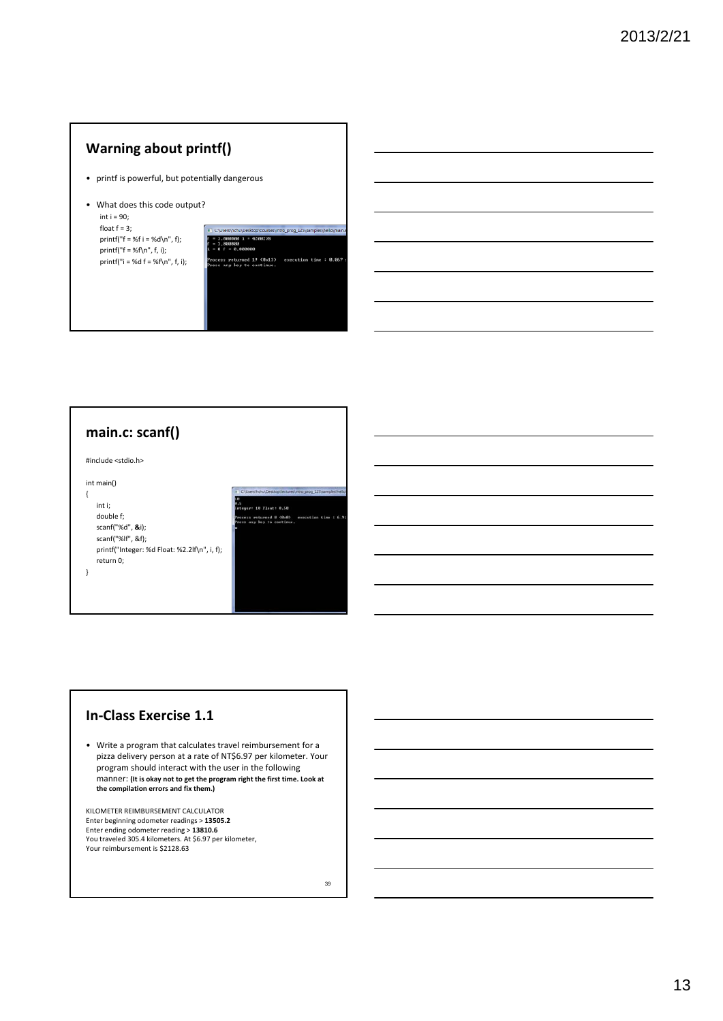## **Warning about printf()**

- printf is powerful, but potentially dangerous
- What does this code output? int i = 90; float  $f = 3$ ; printf("f = %f i = %d\n", f); printf(" $f = %f\n\ln$ ",  $f, i);$

![](_page_12_Picture_4.jpeg)

![](_page_12_Figure_5.jpeg)

### **In‐Class Exercise 1.1**

• Write a program that calculates travel reimbursement for a pizza delivery person at a rate of NT\$6.97 per kilometer. Your program should interact with the user in the following manner: **(It is okay not to get the program right the first time. Look at the compilation errors and fix them.)**

KILOMETER REIMBURSEMENT CALCULATOR Enter beginning odometer readings > **13505.2** Enter ending odometer reading > **13810.6** You traveled 305.4 kilometers. At \$6.97 per kilometer, Your reimbursement is \$2128.63